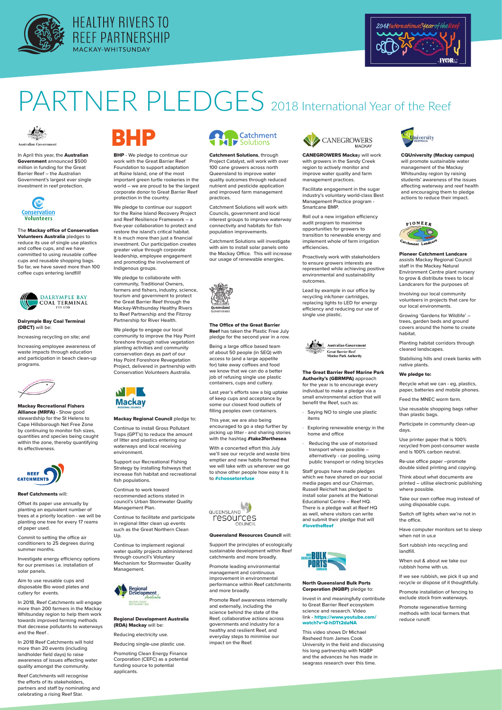





# PARTNER PLEDGES 2018 International Year of the Reef



CANEGROWERS Mackay will work with growers in the Sandy Creek region to actively monitor and improve water quality and farm management practices.

Facilitate engagement in the sugar industry's voluntary world-class Best Management Practice program - Smartcane BMP.

Roll out a new irrigation efficiency audit program to maximise opportunities for growers to transition to renewable energy and implement whole of farm irrigation efficiencies.

In April this year, the **Australian** Government announced \$500 million in funding for the Great Barrier Reef – the Australian Government's largest ever single investment in reef protection.



Proactively work with stakeholders to ensure growers interests are represented while achieving positive environmental and sustainability outcomes.

Lead by example in our office by recycling ink/toner cartridges, replacing lights to LED for energy efficiency and reducing our use of single use plastic.



**BHP** - We pledge to continue our work with the Great Barrier Reef Foundation to support adaptation at Raine Island, one of the most important green turtle rookeries in the world – we are proud to be the largest corporate donor to Great Barrier Reef protection in the country.

Catchment Solutions, through Project Catalyst, will work with over 100 cane growers across north Queensland to improve water quality outcomes through reduced nutrient and pesticide application and improved farm management practices.

Catchment Solutions will work with Councils, government and local interest groups to improve waterway connectivity and habitats for fish population improvements.

We pledge to collaborate with community, Traditional Owners, farmers and fishers, industry, science, tourism and government to protect the Great Barrier Reef through the Mackay-Whitsunday Healthy Rivers to Reef Partnership and the Fitzroy Partnership for River Health.

Catchment Solutions will investigate with aim to install solar panels onto the Mackay Office. This will increase our usage of renewable energies.



CQUniversity (Mackay campus) will promote sustainable water management of the Mackay Whitsunday region by raising students' awareness of the issues affecting waterway and reef health and encouraging them to pledge actions to reduce their impact.



This year, we are also being encouraged to go a step further by picking up litter - and sharing stories with the hashtag #take3forthesea

We pledge to continue our support for the Raine Island Recovery Project and Reef Resilience Framework – a five-year collaboration to protect and restore the island's critical habitat. It is much more than just a financial investment. Our participation creates greater value through corporate leadership, employee engagement and promoting the involvement of Indigenous groups.

We pledge to engage our local community to improve the Hay Point foreshore through native vegetation planting activities and community conservation days as part of our Hay Point Foreshore Revegetation Project, delivered in partnership with Conservation Volunteers Australia.



The Mackay office of Conservation Volunteers Australia pledges to reduce its use of single use plastics and coffee cups, and we have committed to using reusable coffee cups and reusable shopping bags. So far, we have saved more than 100 coffee cups entering landfill!



# Dalrymple Bay Coal Terminal (DBCT) will be:

Increasing recycling on site; and

Increasing employee awareness of waste impacts through education and participation in beach clean-up programs.



The Office of the Great Barrier Reef has taken the Plastic Free July pledge for the second year in a row.

Being a large office based team of about 50 people (in SEQ) with access to (and a large appetite for) take away coffees and food we know that we can do a better job of refusing single use plastic containers, cups and cutlery.

Last year's efforts saw a big uptake of keep cups and acceptance by some our closest food outlets of filling peoples own containers.

With a concerted effort this July we'll see our recycle and waste bins emptier and new habits formed that we will take with us wherever we go to show other people how easy it is to #choosetorefuse



The Great Barrier Reef Marine Park Authority's (GBRMPA) approach for the year is to encourage every individual to make a pledge via a small environmental action that will benefit the Reef, such as:

- · Saying NO to single use plastic items
- Exploring renewable energy in the home and office
- Reducing the use of motorised transport where possible – alternatively - car pooling, using public transport or riding bicycles

Staff groups have made pledges which we have shared on our social media pages and our Chairman, Russell Reichelt has pledged to install solar panels at the National Educational Centre – Reef HQ. There is a pledge wall at Reef HQ as well, where visitors can write and submit their pledge that will #lovetheReef



Mackay Recreational Fishers Alliance (MRFA) - Show good stewardship for the St Helens to Cape Hillsborough Net Free Zone by continuing to monitor fish sizes, quantities and species being caught within the zone, thereby quantifying its effectiveness.



# Mackay Regional Council pledge to:

Continue to install Gross Pollutant Traps (GPT's) to reduce the amount of litter and plastics entering our waterways and local receiving environment.

Support our Recreational Fishing Strategy by installing fishways that increase fish habitat and recreational fish populations.

Continue to work toward recommended actions stated in council's Urban Stormwater Quality Management Plan.

Continue to facilitate and participate in regional litter clean up events such as the Great Northern Clean



### Up.

Continue to implement regional water quality projects administered through council's Voluntary Mechanism for Stormwater Quality Management.



# Pioneer Catchment Landcare

assists Mackay Regional Council staff in the Mackay Natural Environment Centre plant nursery to grow & distribute trees to local Landcarers for the purposes of:

Involving our local community volunteers in projects that care for our local environments.

Growing 'Gardens for Wildlife' – trees, garden beds and ground covers around the home to create habitat.

Planting habitat corridors through cleared landscapes.

Stabilising hills and creek banks with native plants.

## We pledge to:

Recycle what we can - eg, plastics, paper, batteries and mobile phones.

Feed the MNEC worm farm.

Use reusable shopping bags rather than plastic bags.

Participate in community clean-up days.

Use printer paper that is 100% recycled from post-consumer waste and is 100% carbon neutral.

Re-use office paper –promote double sided printing and copying.

Think about what documents are printed – utilise electronic publishing where possible.

Take our own coffee mug instead of using disposable cups.

Switch off lights when we're not in the office.

Have computer monitors set to sleep when not in us.e

Sort rubbish into recycling and landfill.

When out & about we take our rubbish home with us.

If we see rubbish, we pick it up and recycle or dispose of it thoughtfully.

Promote installation of fencing to exclude stock from waterways.

Promote regenerative farming methods with local farmers that reduce runoff.

# Reef Catchments will:

Offset its paper use annually by planting an equivalent number of trees at a priority location - we will be planting one tree for every 17 reams of paper used.

Commit to setting the office air conditioners to 25 degrees during summer months.



Investigate energy efficiency options for our premises i.e. installation of solar panels.

Aim to use reusable cups and disposable Bio wood plates and cutlery for events.

In 2018, Reef Catchments will engage more than 200 farmers in the Mackay Whitsunday region to help them work towards improved farming methods that decrease pollutants to waterways and the Reef .

In 2018 Reef Catchments will hold more than 20 events (including landholder field days) to raise awareness of issues affecting water quality amongst the community.

Reef Catchments will recognise the efforts of its stakeholders, partners and staff by nominating and celebrating a rising Reef Star.

# Regional Development Australia (RDA) Mackay will be:

Reducing electricity use.

Reducing single-use plastic use.

Promoting Clean Energy Finance Corporation (CEFC) as a potential funding source to potential applicants.

# North Queensland Bulk Ports Corporation (NQBP) pledge to:

Invest in and meaningfully contribute to Great Barrier Reef ecosystem science and research. Video link - https://www.youtube.com/ watch?v=Q-hDTt2daNA

This video shows Dr Michael Rasheed from James Cook University in the field and discussing his long partnership with NQBP and the advances he has made in seagrass research over this time.

Queensland Resources Council will:



Support the principles of ecologically sustainable development within Reef catchments and more broadly.

Promote leading environmental management and continuous improvement in environmental performance within Reef catchments and more broadly.

Promote Reef awareness internally and externally, including the science behind the state of the Reef, collaborative actions across governments and industry for a healthy and resilient Reef, and everyday steps to minimise our impact on the Reef.